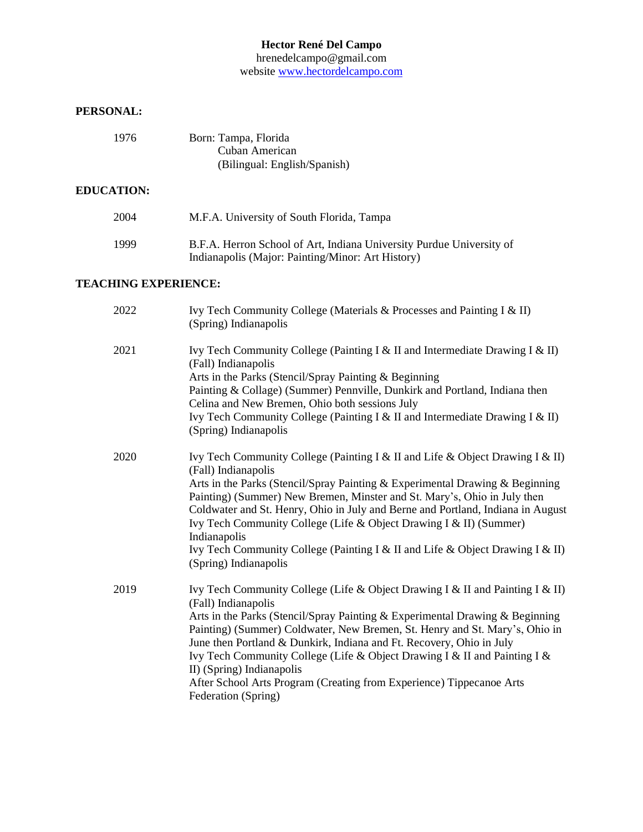#### **Hector René Del Campo**

hrenedelcampo@gmail.com website [www.hectordelcampo.com](http://www.hectordelcampo.com/)

#### **PERSONAL:**

| 1976 | Born: Tampa, Florida         |
|------|------------------------------|
|      | Cuban American               |
|      | (Bilingual: English/Spanish) |

#### **EDUCATION:**

| 2004 | M.F.A. University of South Florida, Tampa                                                                                 |
|------|---------------------------------------------------------------------------------------------------------------------------|
| 1999 | B.F.A. Herron School of Art, Indiana University Purdue University of<br>Indianapolis (Major: Painting/Minor: Art History) |

#### **TEACHING EXPERIENCE:**

| 2022 | Ivy Tech Community College (Materials & Processes and Painting I & II)<br>(Spring) Indianapolis                                                                                                                                                                                                                                                                                                                                                                                                                                                      |
|------|------------------------------------------------------------------------------------------------------------------------------------------------------------------------------------------------------------------------------------------------------------------------------------------------------------------------------------------------------------------------------------------------------------------------------------------------------------------------------------------------------------------------------------------------------|
| 2021 | Ivy Tech Community College (Painting I & II and Intermediate Drawing I & II)<br>(Fall) Indianapolis<br>Arts in the Parks (Stencil/Spray Painting & Beginning<br>Painting & Collage) (Summer) Pennville, Dunkirk and Portland, Indiana then<br>Celina and New Bremen, Ohio both sessions July<br>Ivy Tech Community College (Painting I & II and Intermediate Drawing I & II)<br>(Spring) Indianapolis                                                                                                                                                |
| 2020 | Ivy Tech Community College (Painting I & II and Life & Object Drawing I & II)<br>(Fall) Indianapolis<br>Arts in the Parks (Stencil/Spray Painting & Experimental Drawing & Beginning<br>Painting) (Summer) New Bremen, Minster and St. Mary's, Ohio in July then<br>Coldwater and St. Henry, Ohio in July and Berne and Portland, Indiana in August<br>Ivy Tech Community College (Life & Object Drawing I & II) (Summer)<br>Indianapolis<br>Ivy Tech Community College (Painting I & II and Life & Object Drawing I & II)<br>(Spring) Indianapolis  |
| 2019 | Ivy Tech Community College (Life & Object Drawing I & II and Painting I & II)<br>(Fall) Indianapolis<br>Arts in the Parks (Stencil/Spray Painting & Experimental Drawing & Beginning<br>Painting) (Summer) Coldwater, New Bremen, St. Henry and St. Mary's, Ohio in<br>June then Portland & Dunkirk, Indiana and Ft. Recovery, Ohio in July<br>Ivy Tech Community College (Life & Object Drawing I & II and Painting I &<br>II) (Spring) Indianapolis<br>After School Arts Program (Creating from Experience) Tippecanoe Arts<br>Federation (Spring) |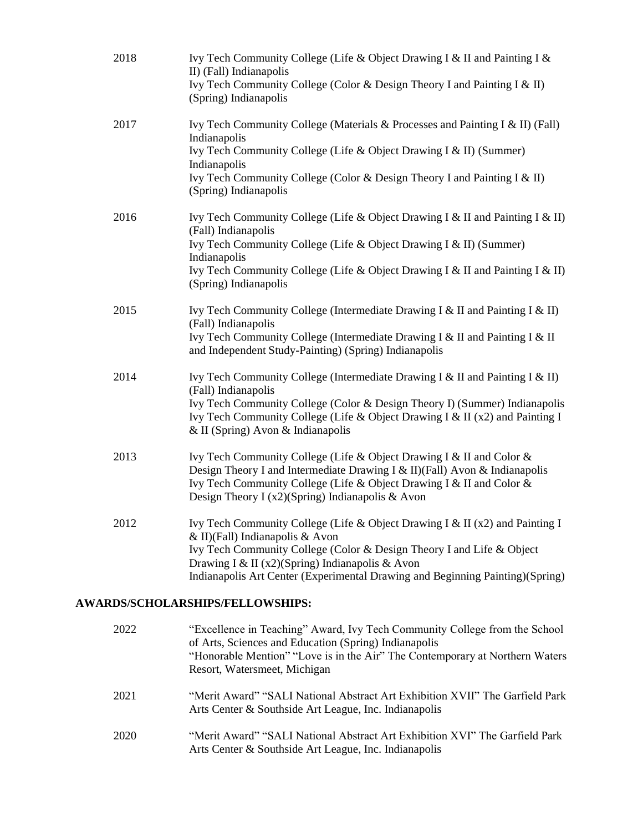| 2018 | Ivy Tech Community College (Life & Object Drawing I & II and Painting I &<br>II) (Fall) Indianapolis<br>Ivy Tech Community College (Color & Design Theory I and Painting I & II)<br>(Spring) Indianapolis                                                                                                                    |
|------|------------------------------------------------------------------------------------------------------------------------------------------------------------------------------------------------------------------------------------------------------------------------------------------------------------------------------|
| 2017 | Ivy Tech Community College (Materials & Processes and Painting I & II) (Fall)<br>Indianapolis<br>Ivy Tech Community College (Life & Object Drawing I & II) (Summer)<br>Indianapolis<br>Ivy Tech Community College (Color & Design Theory I and Painting I & II)<br>(Spring) Indianapolis                                     |
| 2016 | Ivy Tech Community College (Life & Object Drawing I & II and Painting I & II)<br>(Fall) Indianapolis<br>Ivy Tech Community College (Life & Object Drawing I & II) (Summer)<br>Indianapolis<br>Ivy Tech Community College (Life & Object Drawing I & II and Painting I & II)<br>(Spring) Indianapolis                         |
| 2015 | Ivy Tech Community College (Intermediate Drawing I & II and Painting I & II)<br>(Fall) Indianapolis<br>Ivy Tech Community College (Intermediate Drawing I & II and Painting I & II<br>and Independent Study-Painting) (Spring) Indianapolis                                                                                  |
| 2014 | Ivy Tech Community College (Intermediate Drawing I & II and Painting I & II)<br>(Fall) Indianapolis<br>Ivy Tech Community College (Color & Design Theory I) (Summer) Indianapolis<br>Ivy Tech Community College (Life & Object Drawing I & II (x2) and Painting I<br>$&$ II (Spring) Avon $&$ Indianapolis                   |
| 2013 | Ivy Tech Community College (Life & Object Drawing I & II and Color &<br>Design Theory I and Intermediate Drawing I & II)(Fall) Avon & Indianapolis<br>Ivy Tech Community College (Life & Object Drawing I & II and Color &<br>Design Theory I (x2)(Spring) Indianapolis & Avon                                               |
| 2012 | Ivy Tech Community College (Life & Object Drawing I & II (x2) and Painting I<br>& II)(Fall) Indianapolis & Avon<br>Ivy Tech Community College (Color & Design Theory I and Life & Object<br>Drawing I & II (x2)(Spring) Indianapolis & Avon<br>Indianapolis Art Center (Experimental Drawing and Beginning Painting)(Spring) |

## **AWARDS/SCHOLARSHIPS/FELLOWSHIPS:**

| 2022 | "Excellence in Teaching" Award, Ivy Tech Community College from the School<br>of Arts, Sciences and Education (Spring) Indianapolis<br>"Honorable Mention" "Love is in the Air" The Contemporary at Northern Waters<br>Resort, Watersmeet, Michigan |
|------|-----------------------------------------------------------------------------------------------------------------------------------------------------------------------------------------------------------------------------------------------------|
| 2021 | "Merit Award" "SALI National Abstract Art Exhibition XVII" The Garfield Park<br>Arts Center & Southside Art League, Inc. Indianapolis                                                                                                               |
| 2020 | "Merit Award" "SALI National Abstract Art Exhibition XVI" The Garfield Park<br>Arts Center & Southside Art League, Inc. Indianapolis                                                                                                                |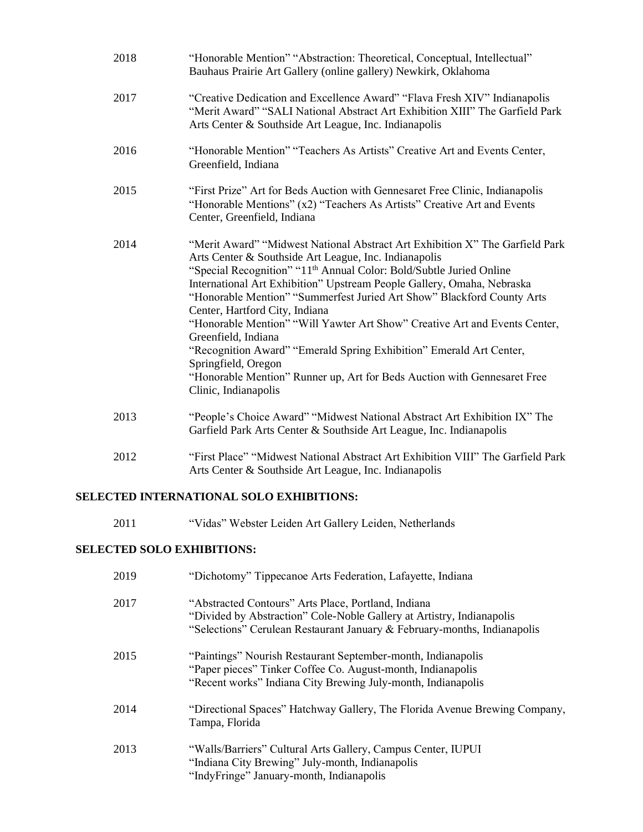| 2018 | "Honorable Mention" "Abstraction: Theoretical, Conceptual, Intellectual"<br>Bauhaus Prairie Art Gallery (online gallery) Newkirk, Oklahoma                                                                                                                                                                                                                                                                                                                                                                                                                                                                                                                                                                            |
|------|-----------------------------------------------------------------------------------------------------------------------------------------------------------------------------------------------------------------------------------------------------------------------------------------------------------------------------------------------------------------------------------------------------------------------------------------------------------------------------------------------------------------------------------------------------------------------------------------------------------------------------------------------------------------------------------------------------------------------|
| 2017 | "Creative Dedication and Excellence Award" "Flava Fresh XIV" Indianapolis<br>"Merit Award" "SALI National Abstract Art Exhibition XIII" The Garfield Park<br>Arts Center & Southside Art League, Inc. Indianapolis                                                                                                                                                                                                                                                                                                                                                                                                                                                                                                    |
| 2016 | "Honorable Mention" "Teachers As Artists" Creative Art and Events Center,<br>Greenfield, Indiana                                                                                                                                                                                                                                                                                                                                                                                                                                                                                                                                                                                                                      |
| 2015 | "First Prize" Art for Beds Auction with Gennesaret Free Clinic, Indianapolis<br>"Honorable Mentions" (x2) "Teachers As Artists" Creative Art and Events<br>Center, Greenfield, Indiana                                                                                                                                                                                                                                                                                                                                                                                                                                                                                                                                |
| 2014 | "Merit Award" "Midwest National Abstract Art Exhibition X" The Garfield Park<br>Arts Center & Southside Art League, Inc. Indianapolis<br>"Special Recognition" "11 <sup>th</sup> Annual Color: Bold/Subtle Juried Online<br>International Art Exhibition" Upstream People Gallery, Omaha, Nebraska<br>"Honorable Mention" "Summerfest Juried Art Show" Blackford County Arts<br>Center, Hartford City, Indiana<br>"Honorable Mention" "Will Yawter Art Show" Creative Art and Events Center,<br>Greenfield, Indiana<br>"Recognition Award" "Emerald Spring Exhibition" Emerald Art Center,<br>Springfield, Oregon<br>"Honorable Mention" Runner up, Art for Beds Auction with Gennesaret Free<br>Clinic, Indianapolis |
| 2013 | "People's Choice Award" "Midwest National Abstract Art Exhibition IX" The<br>Garfield Park Arts Center & Southside Art League, Inc. Indianapolis                                                                                                                                                                                                                                                                                                                                                                                                                                                                                                                                                                      |
| 2012 | "First Place" "Midwest National Abstract Art Exhibition VIII" The Garfield Park<br>Arts Center & Southside Art League, Inc. Indianapolis                                                                                                                                                                                                                                                                                                                                                                                                                                                                                                                                                                              |

### **SELECTED INTERNATIONAL SOLO EXHIBITIONS:**

2011 "Vidas" Webster Leiden Art Gallery Leiden, Netherlands

## **SELECTED SOLO EXHIBITIONS:**

| 2019 | "Dichotomy" Tippecanoe Arts Federation, Lafayette, Indiana                                                                                                                                               |
|------|----------------------------------------------------------------------------------------------------------------------------------------------------------------------------------------------------------|
| 2017 | "Abstracted Contours" Arts Place, Portland, Indiana<br>"Divided by Abstraction" Cole-Noble Gallery at Artistry, Indianapolis<br>"Selections" Cerulean Restaurant January & February-months, Indianapolis |
| 2015 | "Paintings" Nourish Restaurant September-month, Indianapolis<br>"Paper pieces" Tinker Coffee Co. August-month, Indianapolis<br>"Recent works" Indiana City Brewing July-month, Indianapolis              |
| 2014 | "Directional Spaces" Hatchway Gallery, The Florida Avenue Brewing Company,<br>Tampa, Florida                                                                                                             |
| 2013 | "Walls/Barriers" Cultural Arts Gallery, Campus Center, IUPUI<br>"Indiana City Brewing" July-month, Indianapolis<br>"IndyFringe" January-month, Indianapolis                                              |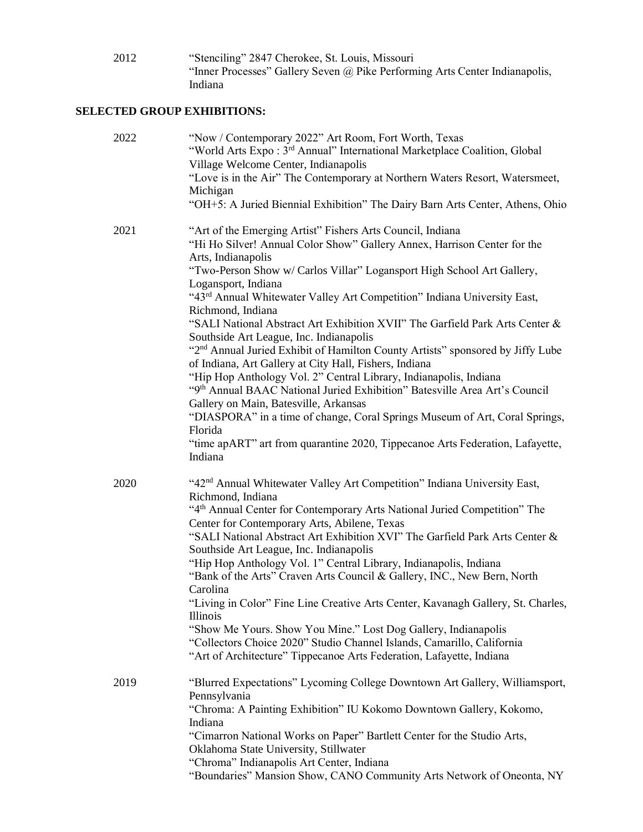2012 "Stenciling" 2847 Cherokee, St. Louis, Missouri "Inner Processes" Gallery Seven @ Pike Performing Arts Center Indianapolis, Indiana

## **SELECTED GROUP EXHIBITIONS:**

| 2022 | "Now / Contemporary 2022" Art Room, Fort Worth, Texas<br>"World Arts Expo: 3 <sup>rd</sup> Annual" International Marketplace Coalition, Global<br>Village Welcome Center, Indianapolis<br>"Love is in the Air" The Contemporary at Northern Waters Resort, Watersmeet,<br>Michigan<br>"OH+5: A Juried Biennial Exhibition" The Dairy Barn Arts Center, Athens, Ohio                                                                                                                                                                                                                                                                                                                                                                                                                                                                                                                                                                                                                                                                             |
|------|-------------------------------------------------------------------------------------------------------------------------------------------------------------------------------------------------------------------------------------------------------------------------------------------------------------------------------------------------------------------------------------------------------------------------------------------------------------------------------------------------------------------------------------------------------------------------------------------------------------------------------------------------------------------------------------------------------------------------------------------------------------------------------------------------------------------------------------------------------------------------------------------------------------------------------------------------------------------------------------------------------------------------------------------------|
| 2021 | "Art of the Emerging Artist" Fishers Arts Council, Indiana<br>"Hi Ho Silver! Annual Color Show" Gallery Annex, Harrison Center for the<br>Arts, Indianapolis<br>"Two-Person Show w/ Carlos Villar" Logansport High School Art Gallery,<br>Logansport, Indiana<br>"43 <sup>rd</sup> Annual Whitewater Valley Art Competition" Indiana University East,<br>Richmond, Indiana<br>"SALI National Abstract Art Exhibition XVII" The Garfield Park Arts Center &<br>Southside Art League, Inc. Indianapolis<br>"2 <sup>nd</sup> Annual Juried Exhibit of Hamilton County Artists" sponsored by Jiffy Lube<br>of Indiana, Art Gallery at City Hall, Fishers, Indiana<br>"Hip Hop Anthology Vol. 2" Central Library, Indianapolis, Indiana<br>"9th Annual BAAC National Juried Exhibition" Batesville Area Art's Council<br>Gallery on Main, Batesville, Arkansas<br>"DIASPORA" in a time of change, Coral Springs Museum of Art, Coral Springs,<br>Florida<br>"time apART" art from quarantine 2020, Tippecanoe Arts Federation, Lafayette,<br>Indiana |
| 2020 | "42 <sup>nd</sup> Annual Whitewater Valley Art Competition" Indiana University East,<br>Richmond, Indiana<br>"4 <sup>th</sup> Annual Center for Contemporary Arts National Juried Competition" The<br>Center for Contemporary Arts, Abilene, Texas<br>"SALI National Abstract Art Exhibition XVI" The Garfield Park Arts Center &<br>Southside Art League, Inc. Indianapolis<br>"Hip Hop Anthology Vol. 1" Central Library, Indianapolis, Indiana<br>"Bank of the Arts" Craven Arts Council & Gallery, INC., New Bern, North<br>Carolina<br>"Living in Color" Fine Line Creative Arts Center, Kavanagh Gallery, St. Charles,<br><i>Illinois</i><br>"Show Me Yours. Show You Mine." Lost Dog Gallery, Indianapolis<br>"Collectors Choice 2020" Studio Channel Islands, Camarillo, California<br>"Art of Architecture" Tippecanoe Arts Federation, Lafayette, Indiana                                                                                                                                                                             |
| 2019 | "Blurred Expectations" Lycoming College Downtown Art Gallery, Williamsport,<br>Pennsylvania<br>"Chroma: A Painting Exhibition" IU Kokomo Downtown Gallery, Kokomo,<br>Indiana<br>"Cimarron National Works on Paper" Bartlett Center for the Studio Arts,<br>Oklahoma State University, Stillwater<br>"Chroma" Indianapolis Art Center, Indiana<br>"Boundaries" Mansion Show, CANO Community Arts Network of Oneonta, NY                                                                                                                                                                                                                                                                                                                                                                                                                                                                                                                                                                                                                         |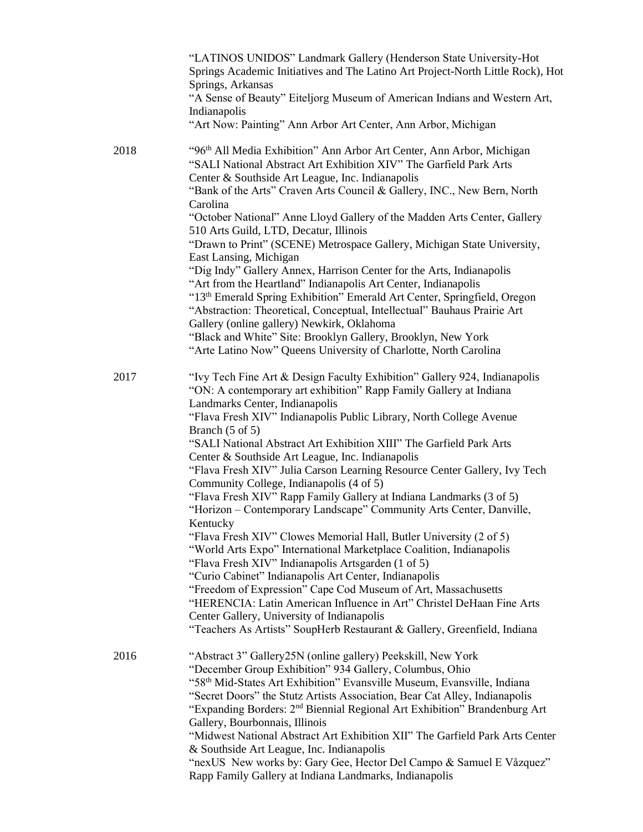|      | "LATINOS UNIDOS" Landmark Gallery (Henderson State University-Hot<br>Springs Academic Initiatives and The Latino Art Project-North Little Rock), Hot<br>Springs, Arkansas<br>"A Sense of Beauty" Eiteljorg Museum of American Indians and Western Art,<br>Indianapolis<br>"Art Now: Painting" Ann Arbor Art Center, Ann Arbor, Michigan |  |
|------|-----------------------------------------------------------------------------------------------------------------------------------------------------------------------------------------------------------------------------------------------------------------------------------------------------------------------------------------|--|
| 2018 | "96 <sup>th</sup> All Media Exhibition" Ann Arbor Art Center, Ann Arbor, Michigan<br>"SALI National Abstract Art Exhibition XIV" The Garfield Park Arts<br>Center & Southside Art League, Inc. Indianapolis<br>"Bank of the Arts" Craven Arts Council & Gallery, INC., New Bern, North                                                  |  |
|      | Carolina<br>"October National" Anne Lloyd Gallery of the Madden Arts Center, Gallery                                                                                                                                                                                                                                                    |  |
|      | 510 Arts Guild, LTD, Decatur, Illinois<br>"Drawn to Print" (SCENE) Metrospace Gallery, Michigan State University,                                                                                                                                                                                                                       |  |
|      | East Lansing, Michigan<br>"Dig Indy" Gallery Annex, Harrison Center for the Arts, Indianapolis<br>"Art from the Heartland" Indianapolis Art Center, Indianapolis                                                                                                                                                                        |  |
|      | "13th Emerald Spring Exhibition" Emerald Art Center, Springfield, Oregon<br>"Abstraction: Theoretical, Conceptual, Intellectual" Bauhaus Prairie Art<br>Gallery (online gallery) Newkirk, Oklahoma                                                                                                                                      |  |
|      | "Black and White" Site: Brooklyn Gallery, Brooklyn, New York                                                                                                                                                                                                                                                                            |  |
|      | "Arte Latino Now" Queens University of Charlotte, North Carolina                                                                                                                                                                                                                                                                        |  |
| 2017 | "Ivy Tech Fine Art & Design Faculty Exhibition" Gallery 924, Indianapolis<br>"ON: A contemporary art exhibition" Rapp Family Gallery at Indiana<br>Landmarks Center, Indianapolis                                                                                                                                                       |  |
|      | "Flava Fresh XIV" Indianapolis Public Library, North College Avenue<br>Branch (5 of 5)                                                                                                                                                                                                                                                  |  |
|      | "SALI National Abstract Art Exhibition XIII" The Garfield Park Arts                                                                                                                                                                                                                                                                     |  |
|      | Center & Southside Art League, Inc. Indianapolis                                                                                                                                                                                                                                                                                        |  |
|      | "Flava Fresh XIV" Julia Carson Learning Resource Center Gallery, Ivy Tech<br>Community College, Indianapolis (4 of 5)                                                                                                                                                                                                                   |  |
|      | "Flava Fresh XIV" Rapp Family Gallery at Indiana Landmarks (3 of 5)<br>"Horizon - Contemporary Landscape" Community Arts Center, Danville,                                                                                                                                                                                              |  |
|      | Kentucky<br>"Flava Fresh XIV" Clowes Memorial Hall, Butler University (2 of 5)                                                                                                                                                                                                                                                          |  |
|      | "World Arts Expo" International Marketplace Coalition, Indianapolis                                                                                                                                                                                                                                                                     |  |
|      | "Flava Fresh XIV" Indianapolis Artsgarden (1 of 5)                                                                                                                                                                                                                                                                                      |  |
|      | "Curio Cabinet" Indianapolis Art Center, Indianapolis                                                                                                                                                                                                                                                                                   |  |
|      | "Freedom of Expression" Cape Cod Museum of Art, Massachusetts                                                                                                                                                                                                                                                                           |  |
|      | "HERENCIA: Latin American Influence in Art" Christel DeHaan Fine Arts<br>Center Gallery, University of Indianapolis                                                                                                                                                                                                                     |  |
|      | "Teachers As Artists" SoupHerb Restaurant & Gallery, Greenfield, Indiana                                                                                                                                                                                                                                                                |  |
| 2016 | "Abstract 3" Gallery25N (online gallery) Peekskill, New York                                                                                                                                                                                                                                                                            |  |
|      | "December Group Exhibition" 934 Gallery, Columbus, Ohio                                                                                                                                                                                                                                                                                 |  |
|      | "58 <sup>th</sup> Mid-States Art Exhibition" Evansville Museum, Evansville, Indiana<br>"Secret Doors" the Stutz Artists Association, Bear Cat Alley, Indianapolis                                                                                                                                                                       |  |
|      | "Expanding Borders: 2 <sup>nd</sup> Biennial Regional Art Exhibition" Brandenburg Art<br>Gallery, Bourbonnais, Illinois                                                                                                                                                                                                                 |  |
|      | "Midwest National Abstract Art Exhibition XII" The Garfield Park Arts Center                                                                                                                                                                                                                                                            |  |
|      | & Southside Art League, Inc. Indianapolis                                                                                                                                                                                                                                                                                               |  |
|      | "nexUS New works by: Gary Gee, Hector Del Campo & Samuel E Våzquez"<br>Rapp Family Gallery at Indiana Landmarks, Indianapolis                                                                                                                                                                                                           |  |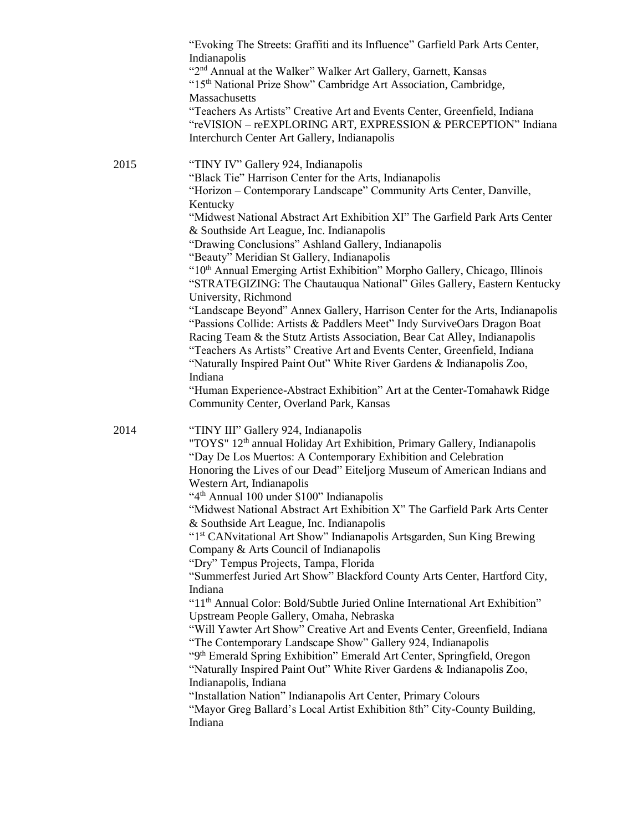|      | "Evoking The Streets: Graffiti and its Influence" Garfield Park Arts Center,<br>Indianapolis                                                                                                                                                                                                                                                                                                 |
|------|----------------------------------------------------------------------------------------------------------------------------------------------------------------------------------------------------------------------------------------------------------------------------------------------------------------------------------------------------------------------------------------------|
|      | "2 <sup>nd</sup> Annual at the Walker" Walker Art Gallery, Garnett, Kansas<br>"15th National Prize Show" Cambridge Art Association, Cambridge,<br>Massachusetts                                                                                                                                                                                                                              |
|      | "Teachers As Artists" Creative Art and Events Center, Greenfield, Indiana<br>"reVISION - reEXPLORING ART, EXPRESSION & PERCEPTION" Indiana<br>Interchurch Center Art Gallery, Indianapolis                                                                                                                                                                                                   |
| 2015 | "TINY IV" Gallery 924, Indianapolis<br>"Black Tie" Harrison Center for the Arts, Indianapolis<br>"Horizon - Contemporary Landscape" Community Arts Center, Danville,<br>Kentucky<br>"Midwest National Abstract Art Exhibition XI" The Garfield Park Arts Center<br>& Southside Art League, Inc. Indianapolis                                                                                 |
|      | "Drawing Conclusions" Ashland Gallery, Indianapolis                                                                                                                                                                                                                                                                                                                                          |
|      | "Beauty" Meridian St Gallery, Indianapolis<br>"10th Annual Emerging Artist Exhibition" Morpho Gallery, Chicago, Illinois<br>"STRATEGIZING: The Chautauqua National" Giles Gallery, Eastern Kentucky<br>University, Richmond                                                                                                                                                                  |
|      | "Landscape Beyond" Annex Gallery, Harrison Center for the Arts, Indianapolis<br>"Passions Collide: Artists & Paddlers Meet" Indy SurviveOars Dragon Boat<br>Racing Team & the Stutz Artists Association, Bear Cat Alley, Indianapolis<br>"Teachers As Artists" Creative Art and Events Center, Greenfield, Indiana<br>"Naturally Inspired Paint Out" White River Gardens & Indianapolis Zoo, |
|      | Indiana<br>"Human Experience-Abstract Exhibition" Art at the Center-Tomahawk Ridge<br>Community Center, Overland Park, Kansas                                                                                                                                                                                                                                                                |
| 2014 | "TINY III" Gallery 924, Indianapolis<br>"TOYS" 12 <sup>th</sup> annual Holiday Art Exhibition, Primary Gallery, Indianapolis<br>"Day De Los Muertos: A Contemporary Exhibition and Celebration<br>Honoring the Lives of our Dead" Eiteljorg Museum of American Indians and<br>Western Art, Indianapolis                                                                                      |
|      | "4 <sup>th</sup> Annual 100 under \$100" Indianapolis                                                                                                                                                                                                                                                                                                                                        |
|      | "Midwest National Abstract Art Exhibition X" The Garfield Park Arts Center<br>& Southside Art League, Inc. Indianapolis                                                                                                                                                                                                                                                                      |
|      | "1st CANvitational Art Show" Indianapolis Artsgarden, Sun King Brewing<br>Company & Arts Council of Indianapolis                                                                                                                                                                                                                                                                             |
|      | "Dry" Tempus Projects, Tampa, Florida<br>"Summerfest Juried Art Show" Blackford County Arts Center, Hartford City,                                                                                                                                                                                                                                                                           |
|      | Indiana<br>"11 <sup>th</sup> Annual Color: Bold/Subtle Juried Online International Art Exhibition"                                                                                                                                                                                                                                                                                           |
|      | Upstream People Gallery, Omaha, Nebraska<br>"Will Yawter Art Show" Creative Art and Events Center, Greenfield, Indiana<br>"The Contemporary Landscape Show" Gallery 924, Indianapolis<br>"9th Emerald Spring Exhibition" Emerald Art Center, Springfield, Oregon<br>"Naturally Inspired Paint Out" White River Gardens & Indianapolis Zoo,                                                   |
|      | Indianapolis, Indiana<br>"Installation Nation" Indianapolis Art Center, Primary Colours<br>"Mayor Greg Ballard's Local Artist Exhibition 8th" City-County Building,<br>Indiana                                                                                                                                                                                                               |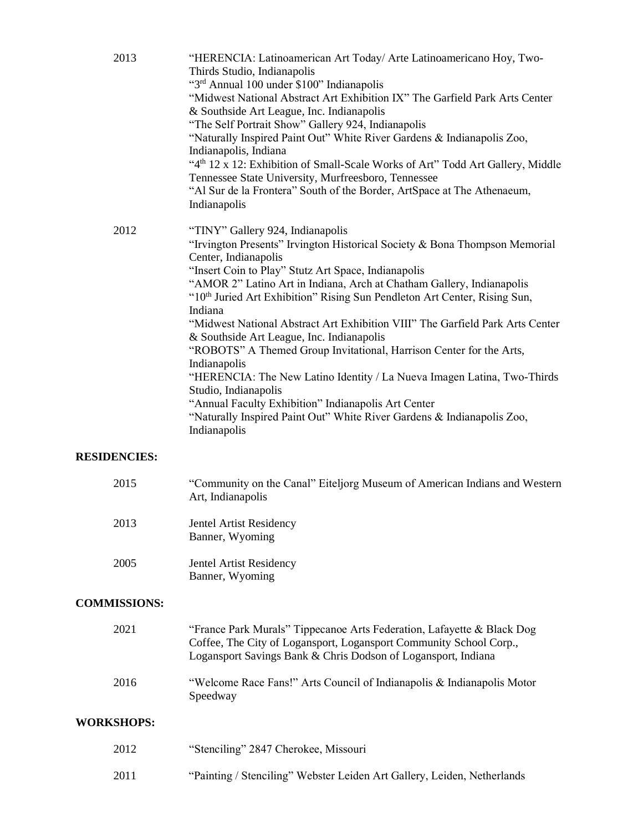| 2013 | "HERENCIA: Latinoamerican Art Today/ Arte Latinoamericano Hoy, Two-<br>Thirds Studio, Indianapolis<br>"3rd Annual 100 under \$100" Indianapolis<br>"Midwest National Abstract Art Exhibition IX" The Garfield Park Arts Center<br>& Southside Art League, Inc. Indianapolis<br>"The Self Portrait Show" Gallery 924, Indianapolis<br>"Naturally Inspired Paint Out" White River Gardens & Indianapolis Zoo,<br>Indianapolis, Indiana<br>"4 <sup>th</sup> 12 x 12: Exhibition of Small-Scale Works of Art" Todd Art Gallery, Middle<br>Tennessee State University, Murfreesboro, Tennessee<br>"Al Sur de la Frontera" South of the Border, ArtSpace at The Athenaeum,<br>Indianapolis                                                                                                                                                    |
|------|-----------------------------------------------------------------------------------------------------------------------------------------------------------------------------------------------------------------------------------------------------------------------------------------------------------------------------------------------------------------------------------------------------------------------------------------------------------------------------------------------------------------------------------------------------------------------------------------------------------------------------------------------------------------------------------------------------------------------------------------------------------------------------------------------------------------------------------------|
| 2012 | "TINY" Gallery 924, Indianapolis<br>"Irvington Presents" Irvington Historical Society & Bona Thompson Memorial<br>Center, Indianapolis<br>"Insert Coin to Play" Stutz Art Space, Indianapolis<br>"AMOR 2" Latino Art in Indiana, Arch at Chatham Gallery, Indianapolis<br>"10th Juried Art Exhibition" Rising Sun Pendleton Art Center, Rising Sun,<br>Indiana<br>"Midwest National Abstract Art Exhibition VIII" The Garfield Park Arts Center<br>& Southside Art League, Inc. Indianapolis<br>"ROBOTS" A Themed Group Invitational, Harrison Center for the Arts,<br>Indianapolis<br>"HERENCIA: The New Latino Identity / La Nueva Imagen Latina, Two-Thirds<br>Studio, Indianapolis<br>"Annual Faculty Exhibition" Indianapolis Art Center<br>"Naturally Inspired Paint Out" White River Gardens & Indianapolis Zoo,<br>Indianapolis |

#### **RESIDENCIES:**

| 2015 | "Community on the Canal" Eiteljorg Museum of American Indians and Western<br>Art, Indianapolis |
|------|------------------------------------------------------------------------------------------------|
| 2013 | Jentel Artist Residency<br>Banner, Wyoming                                                     |
| 2005 | Jentel Artist Residency<br>Banner, Wyoming                                                     |

# **COMMISSIONS:**

| 2021 | "France Park Murals" Tippecanoe Arts Federation, Lafayette & Black Dog<br>Coffee, The City of Logansport, Logansport Community School Corp.,<br>Logansport Savings Bank & Chris Dodson of Logansport, Indiana |
|------|---------------------------------------------------------------------------------------------------------------------------------------------------------------------------------------------------------------|
| 2016 | "Welcome Race Fans!" Arts Council of Indianapolis & Indianapolis Motor<br>Speedway                                                                                                                            |

#### **WORKSHOPS:**

| 2012 | "Stenciling" 2847 Cherokee, Missouri                                    |
|------|-------------------------------------------------------------------------|
| 2011 | "Painting / Stenciling" Webster Leiden Art Gallery, Leiden, Netherlands |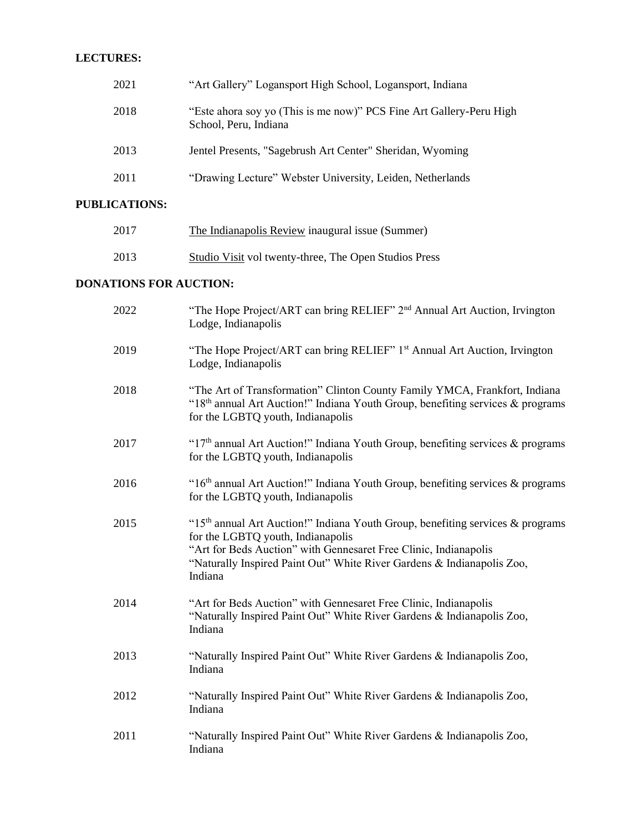#### **LECTURES:**

| 2021 | "Art Gallery" Logansport High School, Logansport, Indiana                                    |
|------|----------------------------------------------------------------------------------------------|
| 2018 | "Este ahora soy yo (This is me now)" PCS Fine Art Gallery-Peru High<br>School, Peru, Indiana |
| 2013 | Jentel Presents, "Sagebrush Art Center" Sheridan, Wyoming                                    |
| 2011 | "Drawing Lecture" Webster University, Leiden, Netherlands                                    |

# **PUBLICATIONS:**

| 2017 | The Indianapolis Review inaugural issue (Summer)      |
|------|-------------------------------------------------------|
| 2013 | Studio Visit vol twenty-three, The Open Studios Press |

### **DONATIONS FOR AUCTION:**

| 2022 | "The Hope Project/ART can bring RELIEF" 2 <sup>nd</sup> Annual Art Auction, Irvington<br>Lodge, Indianapolis                                                                                                                                                                                |
|------|---------------------------------------------------------------------------------------------------------------------------------------------------------------------------------------------------------------------------------------------------------------------------------------------|
| 2019 | "The Hope Project/ART can bring RELIEF" 1 <sup>st</sup> Annual Art Auction, Irvington<br>Lodge, Indianapolis                                                                                                                                                                                |
| 2018 | "The Art of Transformation" Clinton County Family YMCA, Frankfort, Indiana<br>"18 <sup>th</sup> annual Art Auction!" Indiana Youth Group, benefiting services & programs<br>for the LGBTQ youth, Indianapolis                                                                               |
| 2017 | "17 <sup>th</sup> annual Art Auction!" Indiana Youth Group, benefiting services & programs<br>for the LGBTQ youth, Indianapolis                                                                                                                                                             |
| 2016 | "16 <sup>th</sup> annual Art Auction!" Indiana Youth Group, benefiting services & programs<br>for the LGBTQ youth, Indianapolis                                                                                                                                                             |
| 2015 | "15 <sup>th</sup> annual Art Auction!" Indiana Youth Group, benefiting services $\&$ programs<br>for the LGBTQ youth, Indianapolis<br>"Art for Beds Auction" with Gennesaret Free Clinic, Indianapolis<br>"Naturally Inspired Paint Out" White River Gardens & Indianapolis Zoo,<br>Indiana |
| 2014 | "Art for Beds Auction" with Gennesaret Free Clinic, Indianapolis<br>"Naturally Inspired Paint Out" White River Gardens & Indianapolis Zoo,<br>Indiana                                                                                                                                       |
| 2013 | "Naturally Inspired Paint Out" White River Gardens & Indianapolis Zoo,<br>Indiana                                                                                                                                                                                                           |
| 2012 | "Naturally Inspired Paint Out" White River Gardens & Indianapolis Zoo,<br>Indiana                                                                                                                                                                                                           |
| 2011 | "Naturally Inspired Paint Out" White River Gardens & Indianapolis Zoo,<br>Indiana                                                                                                                                                                                                           |